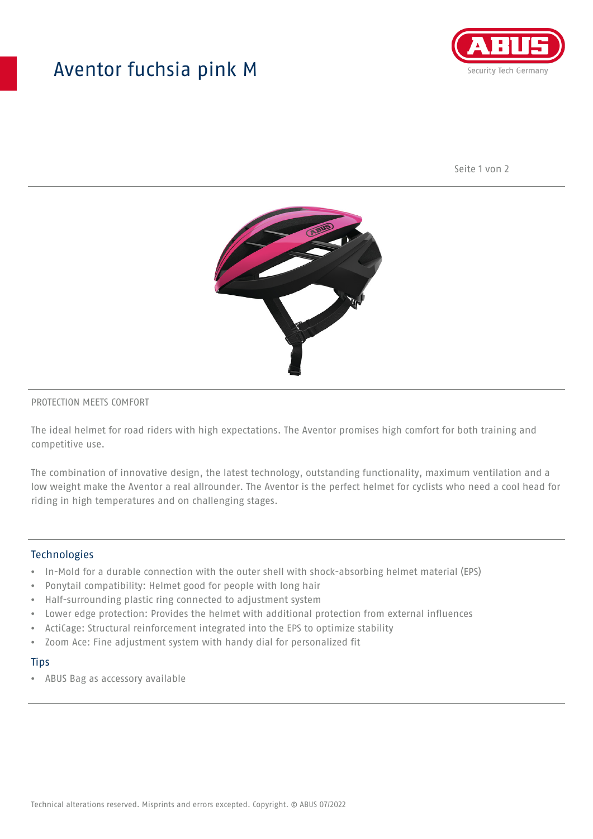## Aventor fuchsia pink M



Seite 1 von 2



#### PROTECTION MEETS COMFORT

The ideal helmet for road riders with high expectations. The Aventor promises high comfort for both training and competitive use.

The combination of innovative design, the latest technology, outstanding functionality, maximum ventilation and a low weight make the Aventor a real allrounder. The Aventor is the perfect helmet for cyclists who need a cool head for riding in high temperatures and on challenging stages.

#### **Technologies**

- In-Mold for a durable connection with the outer shell with shock-absorbing helmet material (EPS)
- Ponytail compatibility: Helmet good for people with long hair
- Half-surrounding plastic ring connected to adjustment system
- Lower edge protection: Provides the helmet with additional protection from external influences
- ActiCage: Structural reinforcement integrated into the EPS to optimize stability
- Zoom Ace: Fine adjustment system with handy dial for personalized fit

#### **Tips**

• ABUS Bag as accessory available